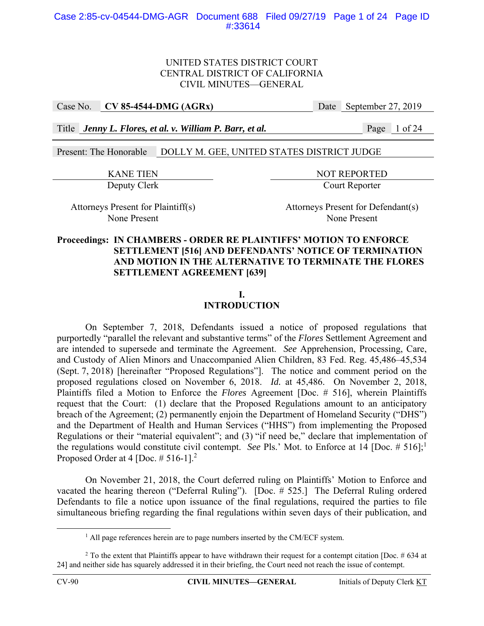Case No. **CV 85-4544-DMG (AGRx)** Date September 27, 2019

Title *Jenny L. Flores, et al. v. William P. Barr, et al.* Page 1 of 24

Present: The Honorable DOLLY M. GEE, UNITED STATES DISTRICT JUDGE

KANE TIEN NOT REPORTED Deputy Clerk Court Reporter

Attorneys Present for Plaintiff(s) Attorneys Present for Defendant(s) None Present None Present

# **Proceedings: IN CHAMBERS - ORDER RE PLAINTIFFS' MOTION TO ENFORCE SETTLEMENT [516] AND DEFENDANTS' NOTICE OF TERMINATION AND MOTION IN THE ALTERNATIVE TO TERMINATE THE FLORES SETTLEMENT AGREEMENT [639]**

# **I.**

# **INTRODUCTION**

 On September 7, 2018, Defendants issued a notice of proposed regulations that purportedly "parallel the relevant and substantive terms" of the *Flores* Settlement Agreement and are intended to supersede and terminate the Agreement. *See* Apprehension, Processing, Care, and Custody of Alien Minors and Unaccompanied Alien Children, 83 Fed. Reg. 45,486–45,534 (Sept. 7, 2018) [hereinafter "Proposed Regulations"]. The notice and comment period on the proposed regulations closed on November 6, 2018. *Id.* at 45,486. On November 2, 2018, Plaintiffs filed a Motion to Enforce the *Flores* Agreement [Doc. # 516], wherein Plaintiffs request that the Court: (1) declare that the Proposed Regulations amount to an anticipatory breach of the Agreement; (2) permanently enjoin the Department of Homeland Security ("DHS") and the Department of Health and Human Services ("HHS") from implementing the Proposed Regulations or their "material equivalent"; and (3) "if need be," declare that implementation of the regulations would constitute civil contempt. *See* Pls.' Mot. to Enforce at 14 [Doc.  $\# 516$ ];<sup>1</sup> Proposed Order at 4 [Doc.  $\# 516-1$ ]<sup>2</sup>

 On November 21, 2018, the Court deferred ruling on Plaintiffs' Motion to Enforce and vacated the hearing thereon ("Deferral Ruling"). [Doc. # 525.] The Deferral Ruling ordered Defendants to file a notice upon issuance of the final regulations, required the parties to file simultaneous briefing regarding the final regulations within seven days of their publication, and

<sup>&</sup>lt;u>1</u>  $^{1}$  All page references herein are to page numbers inserted by the CM/ECF system.

<sup>&</sup>lt;sup>2</sup> To the extent that Plaintiffs appear to have withdrawn their request for a contempt citation [Doc.  $\#$  634 at 24] and neither side has squarely addressed it in their briefing, the Court need not reach the issue of contempt.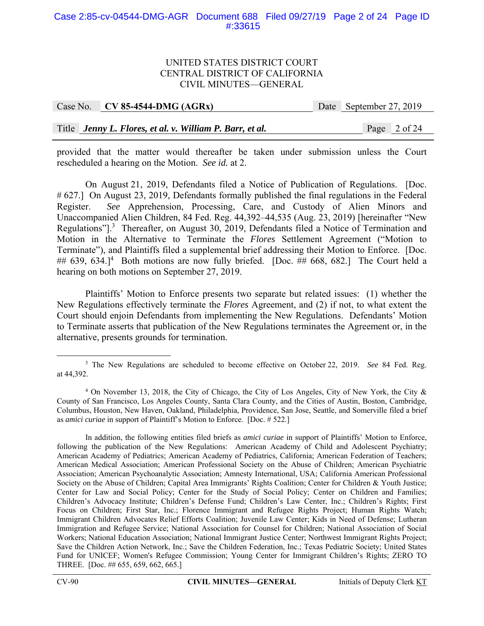#### Case 2:85-cv-04544-DMG-AGR Document 688 Filed 09/27/19 Page 2 of 24 Page ID #:33615

#### UNITED STATES DISTRICT COURT CENTRAL DISTRICT OF CALIFORNIA CIVIL MINUTES—GENERAL

| Case No. $\vert$ CV 85-4544-DMG (AGRx)                   | Date September 27, 2019 |
|----------------------------------------------------------|-------------------------|
|                                                          |                         |
| Title Jenny L. Flores, et al. v. William P. Barr, et al. | Page 2 of 24            |

provided that the matter would thereafter be taken under submission unless the Court rescheduled a hearing on the Motion. *See id.* at 2.

On August 21, 2019, Defendants filed a Notice of Publication of Regulations. [Doc. # 627.] On August 23, 2019, Defendants formally published the final regulations in the Federal Register. *See* Apprehension, Processing, Care, and Custody of Alien Minors and Unaccompanied Alien Children, 84 Fed. Reg. 44,392–44,535 (Aug. 23, 2019) [hereinafter "New Regulations"].<sup>3</sup> Thereafter, on August 30, 2019, Defendants filed a Notice of Termination and Motion in the Alternative to Terminate the *Flores* Settlement Agreement ("Motion to Terminate"), and Plaintiffs filed a supplemental brief addressing their Motion to Enforce. [Doc.  $\#$  639, 634.]<sup>4</sup> Both motions are now fully briefed. [Doc.  $\#$  668, 682.] The Court held a hearing on both motions on September 27, 2019.

Plaintiffs' Motion to Enforce presents two separate but related issues: (1) whether the New Regulations effectively terminate the *Flores* Agreement, and (2) if not, to what extent the Court should enjoin Defendants from implementing the New Regulations. Defendants' Motion to Terminate asserts that publication of the New Regulations terminates the Agreement or, in the alternative, presents grounds for termination.

 $\frac{1}{3}$ <sup>3</sup> The New Regulations are scheduled to become effective on October 22, 2019. *See* 84 Fed. Reg. at 44,392.

<sup>&</sup>lt;sup>4</sup> On November 13, 2018, the City of Chicago, the City of Los Angeles, City of New York, the City & County of San Francisco, Los Angeles County, Santa Clara County, and the Cities of Austin, Boston, Cambridge, Columbus, Houston, New Haven, Oakland, Philadelphia, Providence, San Jose, Seattle, and Somerville filed a brief as *amici curiae* in support of Plaintiff's Motion to Enforce. [Doc. # 522.]

In addition, the following entities filed briefs as *amici curiae* in support of Plaintiffs' Motion to Enforce, following the publication of the New Regulations: American Academy of Child and Adolescent Psychiatry; American Academy of Pediatrics; American Academy of Pediatrics, California; American Federation of Teachers; American Medical Association; American Professional Society on the Abuse of Children; American Psychiatric Association; American Psychoanalytic Association; Amnesty International, USA; California American Professional Society on the Abuse of Children; Capital Area Immigrants' Rights Coalition; Center for Children & Youth Justice; Center for Law and Social Policy; Center for the Study of Social Policy; Center on Children and Families; Children's Advocacy Institute; Children's Defense Fund; Children's Law Center, Inc.; Children's Rights; First Focus on Children; First Star, Inc.; Florence Immigrant and Refugee Rights Project; Human Rights Watch; Immigrant Children Advocates Relief Efforts Coalition; Juvenile Law Center; Kids in Need of Defense; Lutheran Immigration and Refugee Service; National Association for Counsel for Children; National Association of Social Workers; National Education Association; National Immigrant Justice Center; Northwest Immigrant Rights Project; Save the Children Action Network, Inc.; Save the Children Federation, Inc.; Texas Pediatric Society; United States Fund for UNICEF; Women's Refugee Commission; Young Center for Immigrant Children's Rights; ZERO TO THREE. [Doc. ## 655, 659, 662, 665.]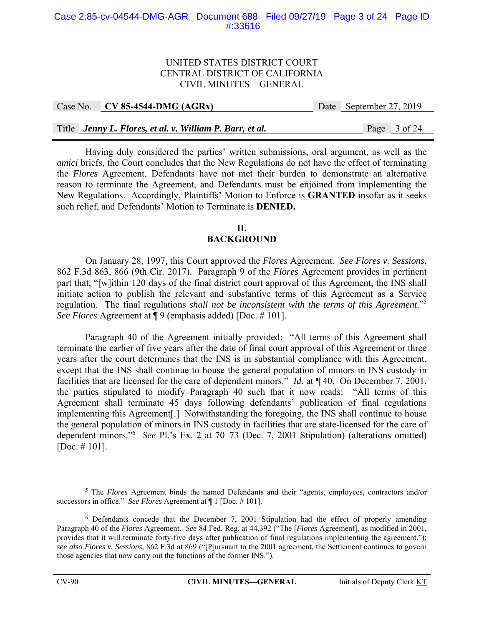#### Case 2:85-cv-04544-DMG-AGR Document 688 Filed 09/27/19 Page 3 of 24 Page ID #:33616

#### UNITED STATES DISTRICT COURT CENTRAL DISTRICT OF CALIFORNIA CIVIL MINUTES—GENERAL

|  | Case No. $CV 85-4544-DMG (AGRx)$                         | Date September 27, 2019 |  |
|--|----------------------------------------------------------|-------------------------|--|
|  |                                                          |                         |  |
|  | Title Jenny L. Flores, et al. v. William P. Barr, et al. | Page 3 of 24            |  |

Having duly considered the parties' written submissions, oral argument, as well as the *amici* briefs, the Court concludes that the New Regulations do not have the effect of terminating the *Flores* Agreement, Defendants have not met their burden to demonstrate an alternative reason to terminate the Agreement, and Defendants must be enjoined from implementing the New Regulations. Accordingly, Plaintiffs' Motion to Enforce is **GRANTED** insofar as it seeks such relief, and Defendants' Motion to Terminate is **DENIED.** 

#### **II. BACKGROUND**

On January 28, 1997, this Court approved the *Flores* Agreement. *See Flores v. Sessions*, 862 F.3d 863, 866 (9th Cir. 2017). Paragraph 9 of the *Flores* Agreement provides in pertinent part that, "[w]ithin 120 days of the final district court approval of this Agreement, the INS shall initiate action to publish the relevant and substantive terms of this Agreement as a Service regulation. The final regulations *shall not be inconsistent with the terms of this Agreement*."5 *See Flores* Agreement at ¶ 9 (emphasis added) [Doc. # 101].

Paragraph 40 of the Agreement initially provided: "All terms of this Agreement shall terminate the earlier of five years after the date of final court approval of this Agreement or three years after the court determines that the INS is in substantial compliance with this Agreement, except that the INS shall continue to house the general population of minors in INS custody in facilities that are licensed for the care of dependent minors." *Id.* at ¶ 40. On December 7, 2001, the parties stipulated to modify Paragraph 40 such that it now reads: "All terms of this Agreement shall terminate 45 days following defendants' publication of final regulations implementing this Agreement[.] Notwithstanding the foregoing, the INS shall continue to house the general population of minors in INS custody in facilities that are state-licensed for the care of dependent minors."<sup>6</sup> *See* Pl.'s Ex. 2 at 70–73 (Dec. 7, 2001 Stipulation) (alterations omitted) [Doc. # 101].

 $rac{1}{5}$ <sup>5</sup> The *Flores* Agreement binds the named Defendants and their "agents, employees, contractors and/or successors in office." *See Flores* Agreement at ¶ 1 [Doc. # 101].

<sup>&</sup>lt;sup>6</sup> Defendants concede that the December 7, 2001 Stipulation had the effect of properly amending Paragraph 40 of the *Flores* Agreement. *See* 84 Fed. Reg. at 44,392 ("The [*Flores* Agreement], as modified in 2001, provides that it will terminate forty-five days after publication of final regulations implementing the agreement."); *see also Flores v. Sessions*, 862 F.3d at 869 ("[P]ursuant to the 2001 agreement, the Settlement continues to govern those agencies that now carry out the functions of the former INS.").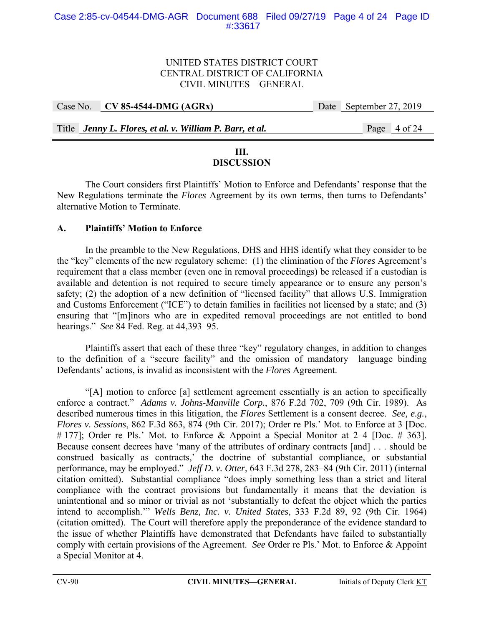| Case No. CV 85-4544-DMG (AGRx)                           | Date September 27, 2019 |
|----------------------------------------------------------|-------------------------|
|                                                          |                         |
| Title Jenny L. Flores, et al. v. William P. Barr, et al. | Page 4 of 24            |

# **III.**

# **DISCUSSION**

 The Court considers first Plaintiffs' Motion to Enforce and Defendants' response that the New Regulations terminate the *Flores* Agreement by its own terms, then turns to Defendants' alternative Motion to Terminate.

# **A. Plaintiffs' Motion to Enforce**

In the preamble to the New Regulations, DHS and HHS identify what they consider to be the "key" elements of the new regulatory scheme: (1) the elimination of the *Flores* Agreement's requirement that a class member (even one in removal proceedings) be released if a custodian is available and detention is not required to secure timely appearance or to ensure any person's safety; (2) the adoption of a new definition of "licensed facility" that allows U.S. Immigration and Customs Enforcement ("ICE") to detain families in facilities not licensed by a state; and (3) ensuring that "[m]inors who are in expedited removal proceedings are not entitled to bond hearings." *See* 84 Fed. Reg. at 44,393–95.

Plaintiffs assert that each of these three "key" regulatory changes, in addition to changes to the definition of a "secure facility" and the omission of mandatory language binding Defendants' actions, is invalid as inconsistent with the *Flores* Agreement.

"[A] motion to enforce [a] settlement agreement essentially is an action to specifically enforce a contract." *Adams v. Johns-Manville Corp.*, 876 F.2d 702, 709 (9th Cir. 1989). As described numerous times in this litigation, the *Flores* Settlement is a consent decree. *See, e.g.*, *Flores v. Sessions*, 862 F.3d 863, 874 (9th Cir. 2017); Order re Pls.' Mot. to Enforce at 3 [Doc. # 177]; Order re Pls.' Mot. to Enforce & Appoint a Special Monitor at 2–4 [Doc. # 363]. Because consent decrees have 'many of the attributes of ordinary contracts [and] . . . should be construed basically as contracts,' the doctrine of substantial compliance, or substantial performance, may be employed." *Jeff D. v. Otter*, 643 F.3d 278, 283–84 (9th Cir. 2011) (internal citation omitted). Substantial compliance "does imply something less than a strict and literal compliance with the contract provisions but fundamentally it means that the deviation is unintentional and so minor or trivial as not 'substantially to defeat the object which the parties intend to accomplish.'" *Wells Benz, Inc. v. United States*, 333 F.2d 89, 92 (9th Cir. 1964) (citation omitted). The Court will therefore apply the preponderance of the evidence standard to the issue of whether Plaintiffs have demonstrated that Defendants have failed to substantially comply with certain provisions of the Agreement. *See* Order re Pls.' Mot. to Enforce & Appoint a Special Monitor at 4.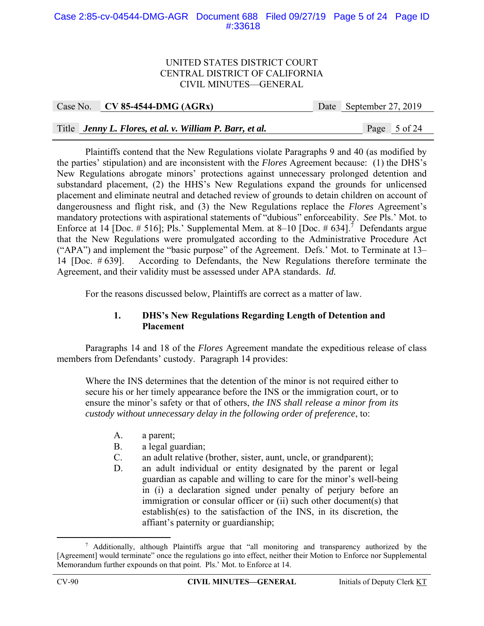#### Case 2:85-cv-04544-DMG-AGR Document 688 Filed 09/27/19 Page 5 of 24 Page ID #:33618

#### UNITED STATES DISTRICT COURT CENTRAL DISTRICT OF CALIFORNIA CIVIL MINUTES—GENERAL

|  | Case No. $\vert$ CV 85-4544-DMG (AGRx)                   | Date September 27, 2019 |  |
|--|----------------------------------------------------------|-------------------------|--|
|  |                                                          |                         |  |
|  | Title Jenny L. Flores, et al. v. William P. Barr, et al. | Page 5 of 24            |  |

Plaintiffs contend that the New Regulations violate Paragraphs 9 and 40 (as modified by the parties' stipulation) and are inconsistent with the *Flores* Agreement because: (1) the DHS's New Regulations abrogate minors' protections against unnecessary prolonged detention and substandard placement, (2) the HHS's New Regulations expand the grounds for unlicensed placement and eliminate neutral and detached review of grounds to detain children on account of dangerousness and flight risk, and (3) the New Regulations replace the *Flores* Agreement's mandatory protections with aspirational statements of "dubious" enforceability. *See* Pls.' Mot. to Enforce at 14 [Doc.  $\# 516$ ]; Pls.' Supplemental Mem. at 8–10 [Doc.  $\# 634$ ].<sup>7</sup> Defendants argue that the New Regulations were promulgated according to the Administrative Procedure Act ("APA") and implement the "basic purpose" of the Agreement. Defs.' Mot. to Terminate at 13– 14 [Doc. # 639]. According to Defendants, the New Regulations therefore terminate the Agreement, and their validity must be assessed under APA standards. *Id.*

For the reasons discussed below, Plaintiffs are correct as a matter of law.

# **1. DHS's New Regulations Regarding Length of Detention and Placement**

 Paragraphs 14 and 18 of the *Flores* Agreement mandate the expeditious release of class members from Defendants' custody. Paragraph 14 provides:

Where the INS determines that the detention of the minor is not required either to secure his or her timely appearance before the INS or the immigration court, or to ensure the minor's safety or that of others, *the INS shall release a minor from its custody without unnecessary delay in the following order of preference*, to:

- A. a parent;
- B. a legal guardian;
- C. an adult relative (brother, sister, aunt, uncle, or grandparent);
- D. an adult individual or entity designated by the parent or legal guardian as capable and willing to care for the minor's well-being in (i) a declaration signed under penalty of perjury before an immigration or consular officer or (ii) such other document(s) that establish(es) to the satisfaction of the INS, in its discretion, the affiant's paternity or guardianship;

 $\frac{1}{7}$  Additionally, although Plaintiffs argue that "all monitoring and transparency authorized by the [Agreement] would terminate" once the regulations go into effect, neither their Motion to Enforce nor Supplemental Memorandum further expounds on that point. Pls.' Mot. to Enforce at 14.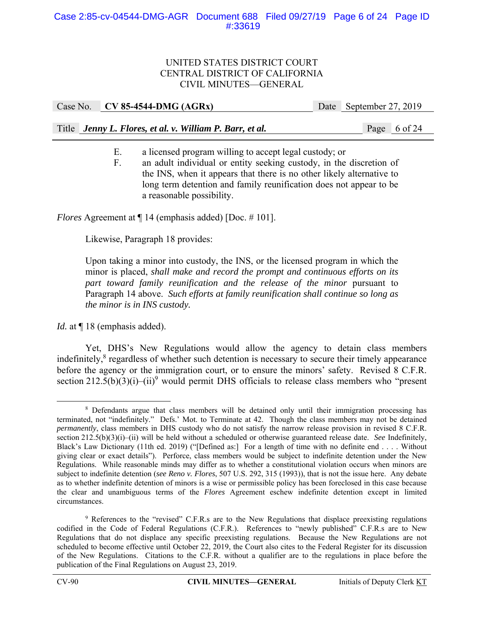| Title Jenny L. Flores, et al. v. William P. Barr, et al. |  | Page 6 of 24 |
|----------------------------------------------------------|--|--------------|

Case No. **CV 85-4544-DMG (AGRx)** Date September 27, 2019

- E. a licensed program willing to accept legal custody; or
- F. an adult individual or entity seeking custody, in the discretion of the INS, when it appears that there is no other likely alternative to long term detention and family reunification does not appear to be a reasonable possibility.

*Flores* Agreement at  $\P$  14 (emphasis added) [Doc. # 101].

Likewise, Paragraph 18 provides:

Upon taking a minor into custody, the INS, or the licensed program in which the minor is placed, *shall make and record the prompt and continuous efforts on its part toward family reunification and the release of the minor* pursuant to Paragraph 14 above. *Such efforts at family reunification shall continue so long as the minor is in INS custody.*

*Id.* at  $\P$  18 (emphasis added).

Yet, DHS's New Regulations would allow the agency to detain class members indefinitely,<sup>8</sup> regardless of whether such detention is necessary to secure their timely appearance before the agency or the immigration court, or to ensure the minors' safety. Revised 8 C.F.R. section  $212.5(b)(3)(i) - (ii)^9$  would permit DHS officials to release class members who "present

 $\begin{array}{c|c}\n\hline\n\end{array}$  Defendants argue that class members will be detained only until their immigration processing has terminated, not "indefinitely." Defs.' Mot. to Terminate at 42. Though the class members may not be detained *permanently*, class members in DHS custody who do not satisfy the narrow release provision in revised 8 C.F.R. section 212.5(b)(3)(i)–(ii) will be held without a scheduled or otherwise guaranteed release date. *See* Indefinitely, Black's Law Dictionary (11th ed. 2019) ("[Defined as:] For a length of time with no definite end . . . . Without giving clear or exact details"). Perforce, class members would be subject to indefinite detention under the New Regulations. While reasonable minds may differ as to whether a constitutional violation occurs when minors are subject to indefinite detention (*see Reno v. Flores*, 507 U.S. 292, 315 (1993)), that is not the issue here. Any debate as to whether indefinite detention of minors is a wise or permissible policy has been foreclosed in this case because the clear and unambiguous terms of the *Flores* Agreement eschew indefinite detention except in limited circumstances.

<sup>&</sup>lt;sup>9</sup> References to the "revised" C.F.R.s are to the New Regulations that displace preexisting regulations codified in the Code of Federal Regulations (C.F.R.). References to "newly published" C.F.R.s are to New Regulations that do not displace any specific preexisting regulations. Because the New Regulations are not scheduled to become effective until October 22, 2019, the Court also cites to the Federal Register for its discussion of the New Regulations. Citations to the C.F.R. without a qualifier are to the regulations in place before the publication of the Final Regulations on August 23, 2019.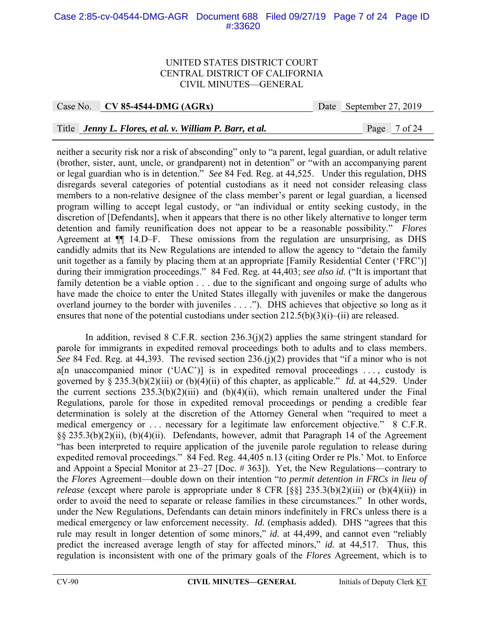#### Case 2:85-cv-04544-DMG-AGR Document 688 Filed 09/27/19 Page 7 of 24 Page ID #:33620

#### UNITED STATES DISTRICT COURT CENTRAL DISTRICT OF CALIFORNIA CIVIL MINUTES—GENERAL

Case No. **CV 85-4544-DMG (AGRx)** Date September 27, 2019

## Title *Jenny L. Flores, et al. v. William P. Barr, et al.* Page 7 of 24

neither a security risk nor a risk of absconding" only to "a parent, legal guardian, or adult relative (brother, sister, aunt, uncle, or grandparent) not in detention" or "with an accompanying parent or legal guardian who is in detention." *See* 84 Fed. Reg. at 44,525. Under this regulation, DHS disregards several categories of potential custodians as it need not consider releasing class members to a non-relative designee of the class member's parent or legal guardian, a licensed program willing to accept legal custody, or "an individual or entity seeking custody, in the discretion of [Defendants], when it appears that there is no other likely alternative to longer term detention and family reunification does not appear to be a reasonable possibility." *Flores* Agreement at ¶¶ 14.D–F. These omissions from the regulation are unsurprising, as DHS candidly admits that its New Regulations are intended to allow the agency to "detain the family unit together as a family by placing them at an appropriate [Family Residential Center ('FRC')] during their immigration proceedings." 84 Fed. Reg. at 44,403; *see also id.* ("It is important that family detention be a viable option . . . due to the significant and ongoing surge of adults who have made the choice to enter the United States illegally with juveniles or make the dangerous overland journey to the border with juveniles . . . ."). DHS achieves that objective so long as it ensures that none of the potential custodians under section 212.5(b)(3)(i)–(ii) are released.

In addition, revised 8 C.F.R. section  $236.3(j)(2)$  applies the same stringent standard for parole for immigrants in expedited removal proceedings both to adults and to class members. *See* 84 Fed. Reg. at 44,393. The revised section 236.(j)(2) provides that "if a minor who is not a[n unaccompanied minor ('UAC')] is in expedited removal proceedings  $\dots$ , custody is governed by § 235.3(b)(2)(iii) or (b)(4)(ii) of this chapter, as applicable." *Id.* at 44,529. Under the current sections  $235.3(b)(2)(iii)$  and  $(b)(4)(ii)$ , which remain unaltered under the Final Regulations, parole for those in expedited removal proceedings or pending a credible fear determination is solely at the discretion of the Attorney General when "required to meet a medical emergency or . . . necessary for a legitimate law enforcement objective." 8 C.F.R. §§ 235.3(b)(2)(ii), (b)(4)(ii). Defendants, however, admit that Paragraph 14 of the Agreement "has been interpreted to require application of the juvenile parole regulation to release during expedited removal proceedings." 84 Fed. Reg. 44,405 n.13 (citing Order re Pls.' Mot. to Enforce and Appoint a Special Monitor at 23–27 [Doc. # 363]). Yet, the New Regulations—contrary to the *Flores* Agreement—double down on their intention "*to permit detention in FRCs in lieu of release* (except where parole is appropriate under 8 CFR [§§] 235.3(b)(2)(iii) or (b)(4)(ii)) in order to avoid the need to separate or release families in these circumstances." In other words, under the New Regulations, Defendants can detain minors indefinitely in FRCs unless there is a medical emergency or law enforcement necessity. *Id.* (emphasis added). DHS "agrees that this rule may result in longer detention of some minors," *id.* at 44,499, and cannot even "reliably predict the increased average length of stay for affected minors," *id.* at 44,517. Thus, this regulation is inconsistent with one of the primary goals of the *Flores* Agreement, which is to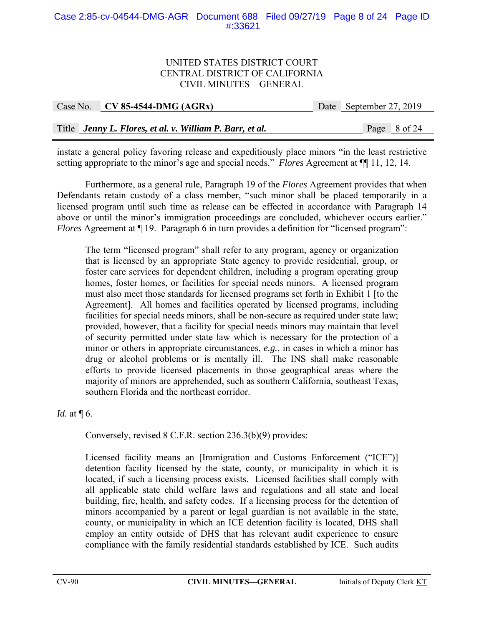#### Case 2:85-cv-04544-DMG-AGR Document 688 Filed 09/27/19 Page 8 of 24 Page ID #:33621

#### UNITED STATES DISTRICT COURT CENTRAL DISTRICT OF CALIFORNIA CIVIL MINUTES—GENERAL

| Case No. CV 85-4544-DMG (AGRx)                           | Date September 27, 2019 |
|----------------------------------------------------------|-------------------------|
|                                                          |                         |
| Title Jenny L. Flores, et al. v. William P. Barr, et al. | Page 8 of 24            |

instate a general policy favoring release and expeditiously place minors "in the least restrictive setting appropriate to the minor's age and special needs." *Flores* Agreement at ¶¶ 11, 12, 14.

 Furthermore, as a general rule, Paragraph 19 of the *Flores* Agreement provides that when Defendants retain custody of a class member, "such minor shall be placed temporarily in a licensed program until such time as release can be effected in accordance with Paragraph 14 above or until the minor's immigration proceedings are concluded, whichever occurs earlier." *Flores* Agreement at  $\P$  19. Paragraph 6 in turn provides a definition for "licensed program":

The term "licensed program" shall refer to any program, agency or organization that is licensed by an appropriate State agency to provide residential, group, or foster care services for dependent children, including a program operating group homes, foster homes, or facilities for special needs minors. A licensed program must also meet those standards for licensed programs set forth in Exhibit 1 [to the Agreement]. All homes and facilities operated by licensed programs, including facilities for special needs minors, shall be non-secure as required under state law; provided, however, that a facility for special needs minors may maintain that level of security permitted under state law which is necessary for the protection of a minor or others in appropriate circumstances, *e.g.*, in cases in which a minor has drug or alcohol problems or is mentally ill. The INS shall make reasonable efforts to provide licensed placements in those geographical areas where the majority of minors are apprehended, such as southern California, southeast Texas, southern Florida and the northeast corridor.

*Id.* at  $\P$  6.

Conversely, revised 8 C.F.R. section 236.3(b)(9) provides:

Licensed facility means an [Immigration and Customs Enforcement ("ICE")] detention facility licensed by the state, county, or municipality in which it is located, if such a licensing process exists. Licensed facilities shall comply with all applicable state child welfare laws and regulations and all state and local building, fire, health, and safety codes. If a licensing process for the detention of minors accompanied by a parent or legal guardian is not available in the state, county, or municipality in which an ICE detention facility is located, DHS shall employ an entity outside of DHS that has relevant audit experience to ensure compliance with the family residential standards established by ICE. Such audits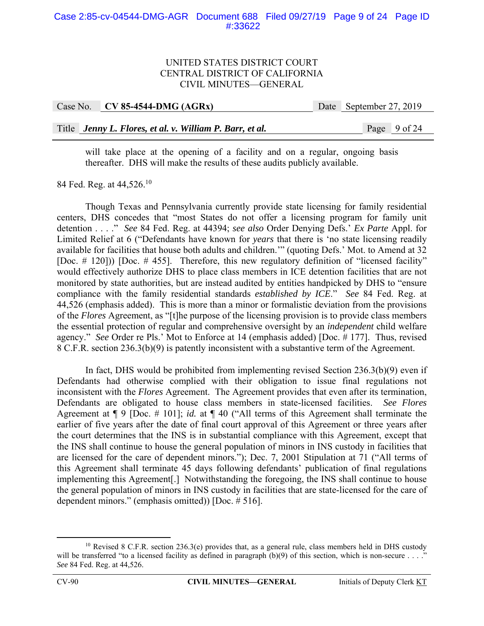| Case No. CV 85-4544-DMG (AGRx)                           | Date September 27, 2019 |                |
|----------------------------------------------------------|-------------------------|----------------|
|                                                          |                         |                |
| Title Jenny L. Flores, et al. v. William P. Barr, et al. |                         | Page $9$ of 24 |

will take place at the opening of a facility and on a regular, ongoing basis thereafter. DHS will make the results of these audits publicly available.

84 Fed. Reg. at 44,526.<sup>10</sup>

Though Texas and Pennsylvania currently provide state licensing for family residential centers, DHS concedes that "most States do not offer a licensing program for family unit detention . . . ." *See* 84 Fed. Reg. at 44394; *see also* Order Denying Defs.' *Ex Parte* Appl. for Limited Relief at 6 ("Defendants have known for *years* that there is 'no state licensing readily available for facilities that house both adults and children.'" (quoting Defs.' Mot. to Amend at 32 [Doc. # 120])) [Doc. # 455]. Therefore, this new regulatory definition of "licensed facility" would effectively authorize DHS to place class members in ICE detention facilities that are not monitored by state authorities, but are instead audited by entities handpicked by DHS to "ensure compliance with the family residential standards *established by ICE*." *See* 84 Fed. Reg. at 44,526 (emphasis added). This is more than a minor or formalistic deviation from the provisions of the *Flores* Agreement, as "[t]he purpose of the licensing provision is to provide class members the essential protection of regular and comprehensive oversight by an *independent* child welfare agency." *See* Order re Pls.' Mot to Enforce at 14 (emphasis added) [Doc. # 177]. Thus, revised 8 C.F.R. section 236.3(b)(9) is patently inconsistent with a substantive term of the Agreement.

In fact, DHS would be prohibited from implementing revised Section 236.3(b)(9) even if Defendants had otherwise complied with their obligation to issue final regulations not inconsistent with the *Flores* Agreement. The Agreement provides that even after its termination, Defendants are obligated to house class members in state-licensed facilities. *See Flores* Agreement at ¶ 9 [Doc. # 101]; *id.* at ¶ 40 ("All terms of this Agreement shall terminate the earlier of five years after the date of final court approval of this Agreement or three years after the court determines that the INS is in substantial compliance with this Agreement, except that the INS shall continue to house the general population of minors in INS custody in facilities that are licensed for the care of dependent minors."); Dec. 7, 2001 Stipulation at 71 ("All terms of this Agreement shall terminate 45 days following defendants' publication of final regulations implementing this Agreement[.] Notwithstanding the foregoing, the INS shall continue to house the general population of minors in INS custody in facilities that are state-licensed for the care of dependent minors." (emphasis omitted)) [Doc. # 516].

<sup>&</sup>lt;sup>10</sup> Revised 8 C.F.R. section 236.3(e) provides that, as a general rule, class members held in DHS custody will be transferred "to a licensed facility as defined in paragraph  $(b)(9)$  of this section, which is non-secure ...." *See* 84 Fed. Reg. at 44,526.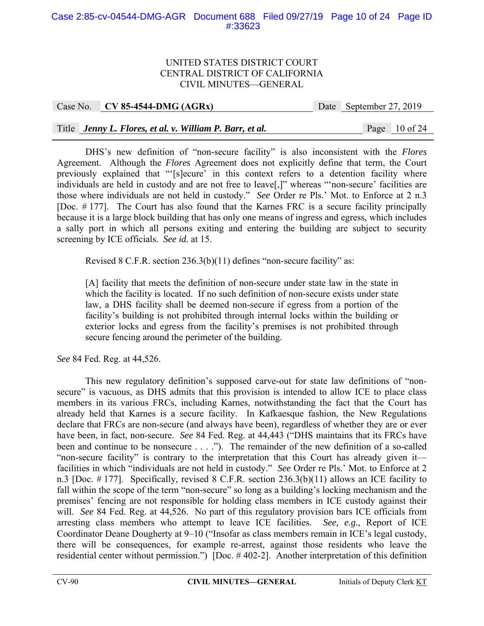#### Case 2:85-cv-04544-DMG-AGR Document 688 Filed 09/27/19 Page 10 of 24 Page ID #:33623

#### UNITED STATES DISTRICT COURT CENTRAL DISTRICT OF CALIFORNIA CIVIL MINUTES—GENERAL

Case No. **CV 85-4544-DMG (AGRx)** Date September 27, 2019

# Title *Jenny L. Flores, et al. v. William P. Barr, et al.* Page 10 of 24

 DHS's new definition of "non-secure facility" is also inconsistent with the *Flores* Agreement. Although the *Flores* Agreement does not explicitly define that term, the Court previously explained that "'[s]ecure' in this context refers to a detention facility where individuals are held in custody and are not free to leave[,]" whereas "'non-secure' facilities are those where individuals are not held in custody." *See* Order re Pls.' Mot. to Enforce at 2 n.3 [Doc. # 177]. The Court has also found that the Karnes FRC is a secure facility principally because it is a large block building that has only one means of ingress and egress, which includes a sally port in which all persons exiting and entering the building are subject to security screening by ICE officials. *See id.* at 15.

Revised 8 C.F.R. section 236.3(b)(11) defines "non-secure facility" as:

[A] facility that meets the definition of non-secure under state law in the state in which the facility is located. If no such definition of non-secure exists under state law, a DHS facility shall be deemed non-secure if egress from a portion of the facility's building is not prohibited through internal locks within the building or exterior locks and egress from the facility's premises is not prohibited through secure fencing around the perimeter of the building.

*See* 84 Fed. Reg. at 44,526.

 This new regulatory definition's supposed carve-out for state law definitions of "nonsecure" is vacuous, as DHS admits that this provision is intended to allow ICE to place class members in its various FRCs, including Karnes, notwithstanding the fact that the Court has already held that Karnes is a secure facility. In Kafkaesque fashion, the New Regulations declare that FRCs are non-secure (and always have been), regardless of whether they are or ever have been, in fact, non-secure. *See* 84 Fed. Reg. at 44,443 ("DHS maintains that its FRCs have been and continue to be nonsecure . . . ."). The remainder of the new definition of a so-called "non-secure facility" is contrary to the interpretation that this Court has already given it facilities in which "individuals are not held in custody." *See* Order re Pls.' Mot. to Enforce at 2 n.3 [Doc. # 177]. Specifically, revised 8 C.F.R. section 236.3(b)(11) allows an ICE facility to fall within the scope of the term "non-secure" so long as a building's locking mechanism and the premises' fencing are not responsible for holding class members in ICE custody against their will. *See* 84 Fed. Reg. at 44,526. No part of this regulatory provision bars ICE officials from arresting class members who attempt to leave ICE facilities. *See, e.g.*, Report of ICE Coordinator Deane Dougherty at 9–10 ("Insofar as class members remain in ICE's legal custody, there will be consequences, for example re-arrest, against those residents who leave the residential center without permission.") [Doc. # 402-2]. Another interpretation of this definition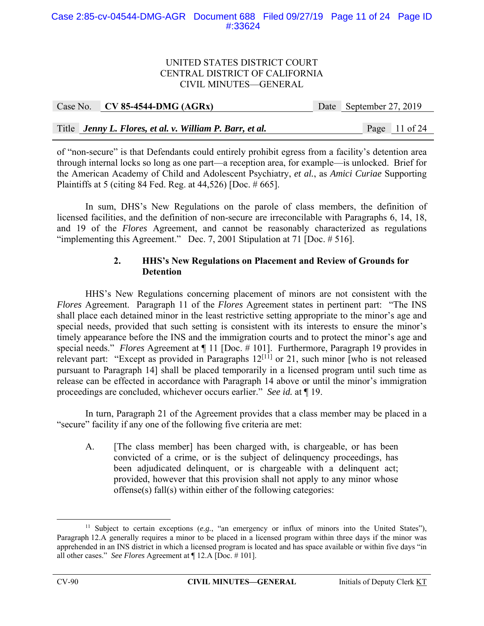| Case No. CV 85-4544-DMG $(AGRx)$                         | Date September 27, 2019 |  |
|----------------------------------------------------------|-------------------------|--|
|                                                          |                         |  |
| Title Jenny L. Flores, et al. v. William P. Barr, et al. | Page $11$ of 24         |  |

of "non-secure" is that Defendants could entirely prohibit egress from a facility's detention area through internal locks so long as one part—a reception area, for example—is unlocked. Brief for the American Academy of Child and Adolescent Psychiatry, *et al.*, as *Amici Curiae* Supporting Plaintiffs at 5 (citing 84 Fed. Reg. at 44,526) [Doc. # 665].

 In sum, DHS's New Regulations on the parole of class members, the definition of licensed facilities, and the definition of non-secure are irreconcilable with Paragraphs 6, 14, 18, and 19 of the *Flores* Agreement, and cannot be reasonably characterized as regulations "implementing this Agreement." Dec. 7, 2001 Stipulation at 71 [Doc. # 516].

# **2. HHS's New Regulations on Placement and Review of Grounds for Detention**

 HHS's New Regulations concerning placement of minors are not consistent with the *Flores* Agreement. Paragraph 11 of the *Flores* Agreement states in pertinent part: "The INS shall place each detained minor in the least restrictive setting appropriate to the minor's age and special needs, provided that such setting is consistent with its interests to ensure the minor's timely appearance before the INS and the immigration courts and to protect the minor's age and special needs." *Flores* Agreement at ¶ 11 [Doc. # 101]. Furthermore, Paragraph 19 provides in relevant part: "Except as provided in Paragraphs  $12^{[11]}$  or 21, such minor [who is not released pursuant to Paragraph 14] shall be placed temporarily in a licensed program until such time as release can be effected in accordance with Paragraph 14 above or until the minor's immigration proceedings are concluded, whichever occurs earlier." *See id.* at ¶ 19.

In turn, Paragraph 21 of the Agreement provides that a class member may be placed in a "secure" facility if any one of the following five criteria are met:

A. [The class member] has been charged with, is chargeable, or has been convicted of a crime, or is the subject of delinquency proceedings, has been adjudicated delinquent, or is chargeable with a delinquent act; provided, however that this provision shall not apply to any minor whose offense(s) fall(s) within either of the following categories:

 <sup>11</sup> Subject to certain exceptions (*e.g.*, "an emergency or influx of minors into the United States"), Paragraph 12.A generally requires a minor to be placed in a licensed program within three days if the minor was apprehended in an INS district in which a licensed program is located and has space available or within five days "in all other cases." *See Flores* Agreement at ¶ 12.A [Doc. # 101].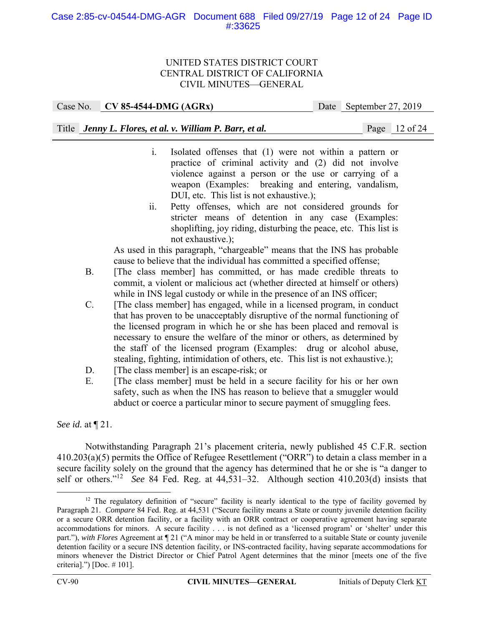#### Case 2:85-cv-04544-DMG-AGR Document 688 Filed 09/27/19 Page 12 of 24 Page ID #:33625

#### UNITED STATES DISTRICT COURT CENTRAL DISTRICT OF CALIFORNIA CIVIL MINUTES—GENERAL

Case No. **CV 85-4544-DMG (AGRx)** Date September 27, 2019

Title *Jenny L. Flores, et al. v. William P. Barr, et al.* Page 12 of 24

- i. Isolated offenses that (1) were not within a pattern or practice of criminal activity and (2) did not involve violence against a person or the use or carrying of a weapon (Examples: breaking and entering, vandalism, DUI, etc. This list is not exhaustive.);
- ii. Petty offenses, which are not considered grounds for stricter means of detention in any case (Examples: shoplifting, joy riding, disturbing the peace, etc. This list is not exhaustive.);

 As used in this paragraph, "chargeable" means that the INS has probable cause to believe that the individual has committed a specified offense;

- B. [The class member] has committed, or has made credible threats to commit, a violent or malicious act (whether directed at himself or others) while in INS legal custody or while in the presence of an INS officer;
- C. [The class member] has engaged, while in a licensed program, in conduct that has proven to be unacceptably disruptive of the normal functioning of the licensed program in which he or she has been placed and removal is necessary to ensure the welfare of the minor or others, as determined by the staff of the licensed program (Examples: drug or alcohol abuse, stealing, fighting, intimidation of others, etc. This list is not exhaustive.);
- D. [The class member] is an escape-risk; or
- E. [The class member] must be held in a secure facility for his or her own safety, such as when the INS has reason to believe that a smuggler would abduct or coerce a particular minor to secure payment of smuggling fees.

*See id.* at ¶ 21.

Notwithstanding Paragraph 21's placement criteria, newly published 45 C.F.R. section 410.203(a)(5) permits the Office of Refugee Resettlement ("ORR") to detain a class member in a secure facility solely on the ground that the agency has determined that he or she is "a danger to self or others."12 *See* 84 Fed. Reg. at 44,531–32. Although section 410.203(d) insists that

 $12$  The regulatory definition of "secure" facility is nearly identical to the type of facility governed by Paragraph 21. *Compare* 84 Fed. Reg. at 44,531 ("Secure facility means a State or county juvenile detention facility or a secure ORR detention facility, or a facility with an ORR contract or cooperative agreement having separate accommodations for minors. A secure facility . . . is not defined as a 'licensed program' or 'shelter' under this part."), *with Flores* Agreement at ¶ 21 ("A minor may be held in or transferred to a suitable State or county juvenile detention facility or a secure INS detention facility, or INS-contracted facility, having separate accommodations for minors whenever the District Director or Chief Patrol Agent determines that the minor [meets one of the five criteria].") [Doc. # 101].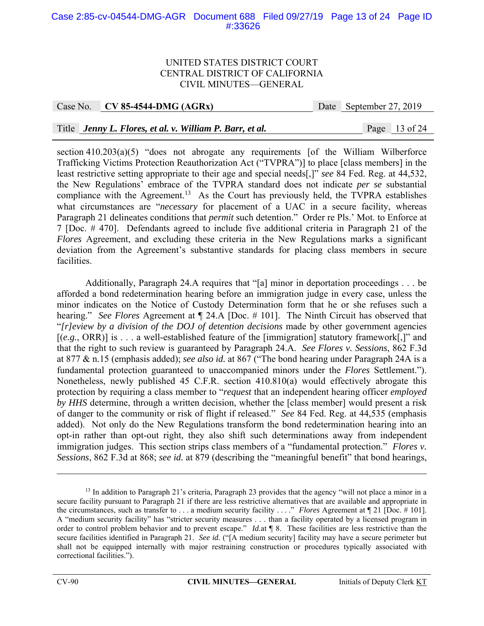#### Case 2:85-cv-04544-DMG-AGR Document 688 Filed 09/27/19 Page 13 of 24 Page ID #:33626

#### UNITED STATES DISTRICT COURT CENTRAL DISTRICT OF CALIFORNIA CIVIL MINUTES—GENERAL

Case No. **CV 85-4544-DMG (AGRx)** Date September 27, 2019

#### Title *Jenny L. Flores, et al. v. William P. Barr, et al.* Page 13 of 24

section 410.203(a)(5) "does not abrogate any requirements [of the William Wilberforce Trafficking Victims Protection Reauthorization Act ("TVPRA")] to place [class members] in the least restrictive setting appropriate to their age and special needs[,]" *see* 84 Fed. Reg. at 44,532, the New Regulations' embrace of the TVPRA standard does not indicate *per se* substantial compliance with the Agreement.<sup>13</sup> As the Court has previously held, the TVPRA establishes what circumstances are "*necessary* for placement of a UAC in a secure facility, whereas Paragraph 21 delineates conditions that *permit* such detention." Order re Pls.' Mot. to Enforce at 7 [Doc. # 470]. Defendants agreed to include five additional criteria in Paragraph 21 of the *Flores* Agreement, and excluding these criteria in the New Regulations marks a significant deviation from the Agreement's substantive standards for placing class members in secure facilities.

Additionally, Paragraph 24.A requires that "[a] minor in deportation proceedings . . . be afforded a bond redetermination hearing before an immigration judge in every case, unless the minor indicates on the Notice of Custody Determination form that he or she refuses such a hearing." *See Flores* Agreement at ¶ 24.A [Doc. # 101]. The Ninth Circuit has observed that "*[r]eview by a division of the DOJ of detention decisions* made by other government agencies [(*e.g.*, ORR)] is . . . a well-established feature of the [immigration] statutory framework[,]" and that the right to such review is guaranteed by Paragraph 24.A. *See Flores v. Sessions*, 862 F.3d at 877 & n.15 (emphasis added); *see also id.* at 867 ("The bond hearing under Paragraph 24A is a fundamental protection guaranteed to unaccompanied minors under the *Flores* Settlement."). Nonetheless, newly published 45 C.F.R. section 410.810(a) would effectively abrogate this protection by requiring a class member to "*request* that an independent hearing officer *employed by HHS* determine, through a written decision, whether the [class member] would present a risk of danger to the community or risk of flight if released." *See* 84 Fed. Reg. at 44,535 (emphasis added). Not only do the New Regulations transform the bond redetermination hearing into an opt-in rather than opt-out right, they also shift such determinations away from independent immigration judges. This section strips class members of a "fundamental protection." *Flores v. Sessions*, 862 F.3d at 868; *see id.* at 879 (describing the "meaningful benefit" that bond hearings,

1

<sup>&</sup>lt;sup>13</sup> In addition to Paragraph 21's criteria, Paragraph 23 provides that the agency "will not place a minor in a secure facility pursuant to Paragraph 21 if there are less restrictive alternatives that are available and appropriate in the circumstances, such as transfer to . . . a medium security facility . . . ." *Flores* Agreement at ¶ 21 [Doc. # 101]. A "medium security facility" has "stricter security measures . . . than a facility operated by a licensed program in order to control problem behavior and to prevent escape." *Id.*at ¶ 8. These facilities are less restrictive than the secure facilities identified in Paragraph 21. *See id.* ("[A medium security] facility may have a secure perimeter but shall not be equipped internally with major restraining construction or procedures typically associated with correctional facilities.").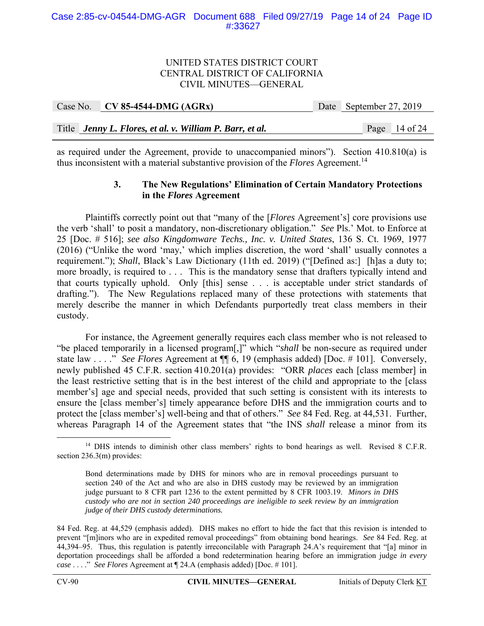| Case No. CV 85-4544-DMG (AGRx)                           | Date September 27, 2019 |                 |
|----------------------------------------------------------|-------------------------|-----------------|
|                                                          |                         |                 |
| Title Jenny L. Flores, et al. v. William P. Barr, et al. |                         | Page $14$ of 24 |

as required under the Agreement, provide to unaccompanied minors"). Section 410.810(a) is thus inconsistent with a material substantive provision of the *Flores* Agreement.<sup>14</sup>

#### **3. The New Regulations' Elimination of Certain Mandatory Protections in the** *Flores* **Agreement**

 Plaintiffs correctly point out that "many of the [*Flores* Agreement's] core provisions use the verb 'shall' to posit a mandatory, non-discretionary obligation." *See* Pls.' Mot. to Enforce at 25 [Doc. # 516]; *see also Kingdomware Techs., Inc. v. United States*, 136 S. Ct. 1969, 1977 (2016) ("Unlike the word 'may,' which implies discretion, the word 'shall' usually connotes a requirement."); *Shall*, Black's Law Dictionary (11th ed. 2019) ("[Defined as:] [h]as a duty to; more broadly, is required to . . . This is the mandatory sense that drafters typically intend and that courts typically uphold. Only [this] sense . . . is acceptable under strict standards of drafting."). The New Regulations replaced many of these protections with statements that merely describe the manner in which Defendants purportedly treat class members in their custody.

 For instance, the Agreement generally requires each class member who is not released to "be placed temporarily in a licensed program[,]" which "*shall* be non-secure as required under state law . . . ." *See Flores* Agreement at ¶¶ 6, 19 (emphasis added) [Doc. # 101]. Conversely, newly published 45 C.F.R. section 410.201(a) provides: "ORR *places* each [class member] in the least restrictive setting that is in the best interest of the child and appropriate to the [class member's] age and special needs, provided that such setting is consistent with its interests to ensure the [class member's] timely appearance before DHS and the immigration courts and to protect the [class member's] well-being and that of others." *See* 84 Fed. Reg. at 44,531. Further, whereas Paragraph 14 of the Agreement states that "the INS *shall* release a minor from its

<sup>&</sup>lt;sup>14</sup> DHS intends to diminish other class members' rights to bond hearings as well. Revised 8 C.F.R. section 236.3(m) provides:

Bond determinations made by DHS for minors who are in removal proceedings pursuant to section 240 of the Act and who are also in DHS custody may be reviewed by an immigration judge pursuant to 8 CFR part 1236 to the extent permitted by 8 CFR 1003.19. *Minors in DHS custody who are not in section 240 proceedings are ineligible to seek review by an immigration judge of their DHS custody determinations.*

<sup>84</sup> Fed. Reg. at 44,529 (emphasis added). DHS makes no effort to hide the fact that this revision is intended to prevent "[m]inors who are in expedited removal proceedings" from obtaining bond hearings. *See* 84 Fed. Reg. at 44,394–95. Thus, this regulation is patently irreconcilable with Paragraph 24.A's requirement that "[a] minor in deportation proceedings shall be afforded a bond redetermination hearing before an immigration judge *in every case* . . . ." *See Flores* Agreement at ¶ 24.A (emphasis added) [Doc. # 101].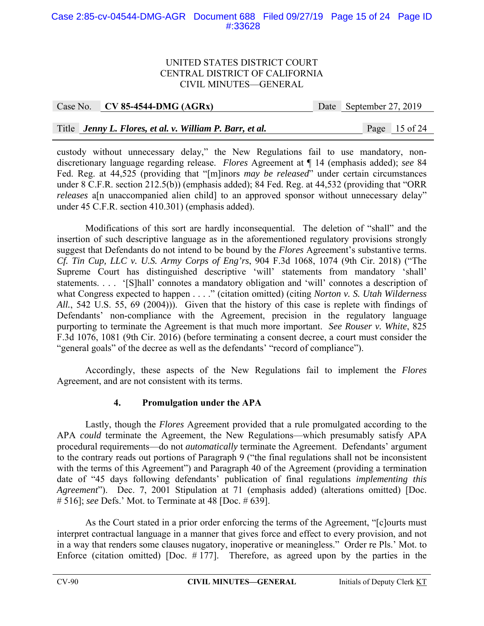#### Case 2:85-cv-04544-DMG-AGR Document 688 Filed 09/27/19 Page 15 of 24 Page ID #:33628

#### UNITED STATES DISTRICT COURT CENTRAL DISTRICT OF CALIFORNIA CIVIL MINUTES—GENERAL

Case No. **CV 85-4544-DMG (AGRx)** Date September 27, 2019

# Title *Jenny L. Flores, et al. v. William P. Barr, et al.* Page 15 of 24

custody without unnecessary delay," the New Regulations fail to use mandatory, nondiscretionary language regarding release. *Flores* Agreement at ¶ 14 (emphasis added); *see* 84 Fed. Reg. at 44,525 (providing that "[m]inors *may be released*" under certain circumstances under 8 C.F.R. section 212.5(b)) (emphasis added); 84 Fed. Reg. at 44,532 (providing that "ORR *releases* a<sup>[n unaccompanied alien child] to an approved sponsor without unnecessary delay"</sup> under 45 C.F.R. section 410.301) (emphasis added).

 Modifications of this sort are hardly inconsequential. The deletion of "shall" and the insertion of such descriptive language as in the aforementioned regulatory provisions strongly suggest that Defendants do not intend to be bound by the *Flores* Agreement's substantive terms. *Cf. Tin Cup, LLC v. U.S. Army Corps of Eng'rs*, 904 F.3d 1068, 1074 (9th Cir. 2018) ("The Supreme Court has distinguished descriptive 'will' statements from mandatory 'shall' statements. . . . '[S]hall' connotes a mandatory obligation and 'will' connotes a description of what Congress expected to happen . . . ." (citation omitted) (citing *Norton v. S. Utah Wilderness All.*, 542 U.S. 55, 69 (2004))). Given that the history of this case is replete with findings of Defendants' non-compliance with the Agreement, precision in the regulatory language purporting to terminate the Agreement is that much more important. *See Rouser v. White*, 825 F.3d 1076, 1081 (9th Cir. 2016) (before terminating a consent decree, a court must consider the "general goals" of the decree as well as the defendants' "record of compliance").

Accordingly, these aspects of the New Regulations fail to implement the *Flores* Agreement, and are not consistent with its terms.

# **4. Promulgation under the APA**

Lastly, though the *Flores* Agreement provided that a rule promulgated according to the APA *could* terminate the Agreement, the New Regulations—which presumably satisfy APA procedural requirements—do not *automatically* terminate the Agreement. Defendants' argument to the contrary reads out portions of Paragraph 9 ("the final regulations shall not be inconsistent with the terms of this Agreement") and Paragraph 40 of the Agreement (providing a termination date of "45 days following defendants' publication of final regulations *implementing this Agreement*"). Dec. 7, 2001 Stipulation at 71 (emphasis added) (alterations omitted) [Doc. # 516]; *see* Defs.' Mot. to Terminate at 48 [Doc. # 639].

As the Court stated in a prior order enforcing the terms of the Agreement, "[c]ourts must interpret contractual language in a manner that gives force and effect to every provision, and not in a way that renders some clauses nugatory, inoperative or meaningless." Order re Pls.' Mot. to Enforce (citation omitted) [Doc.  $# 177$ ]. Therefore, as agreed upon by the parties in the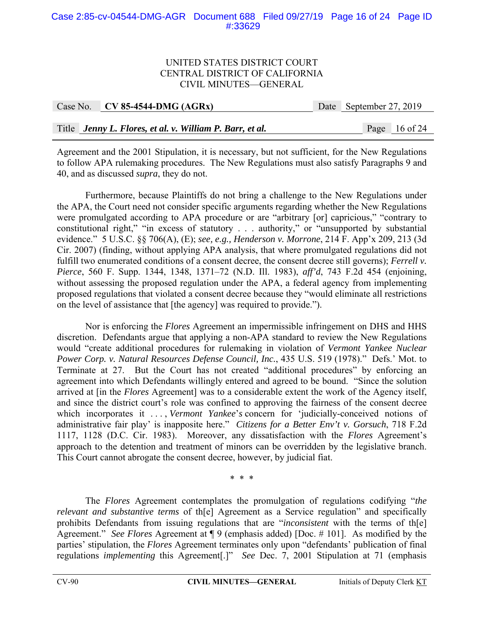#### Case 2:85-cv-04544-DMG-AGR Document 688 Filed 09/27/19 Page 16 of 24 Page ID #:33629

#### UNITED STATES DISTRICT COURT CENTRAL DISTRICT OF CALIFORNIA CIVIL MINUTES—GENERAL

| Case No. CV 85-4544-DMG $(AGRx)$                         | Date September 27, 2019 |                 |
|----------------------------------------------------------|-------------------------|-----------------|
|                                                          |                         |                 |
| Title Jenny L. Flores, et al. v. William P. Barr, et al. |                         | Page $16$ of 24 |

Agreement and the 2001 Stipulation, it is necessary, but not sufficient, for the New Regulations to follow APA rulemaking procedures. The New Regulations must also satisfy Paragraphs 9 and 40, and as discussed *supra*, they do not.

Furthermore, because Plaintiffs do not bring a challenge to the New Regulations under the APA, the Court need not consider specific arguments regarding whether the New Regulations were promulgated according to APA procedure or are "arbitrary [or] capricious," "contrary to constitutional right," "in excess of statutory . . . authority," or "unsupported by substantial evidence." 5 U.S.C. §§ 706(A), (E); *see, e.g., Henderson v. Morrone*, 214 F. App'x 209, 213 (3d Cir. 2007) (finding, without applying APA analysis, that where promulgated regulations did not fulfill two enumerated conditions of a consent decree, the consent decree still governs); *Ferrell v. Pierce*, 560 F. Supp. 1344, 1348, 1371–72 (N.D. Ill. 1983), *aff'd*, 743 F.2d 454 (enjoining, without assessing the proposed regulation under the APA, a federal agency from implementing proposed regulations that violated a consent decree because they "would eliminate all restrictions on the level of assistance that [the agency] was required to provide.").

Nor is enforcing the *Flores* Agreement an impermissible infringement on DHS and HHS discretion. Defendants argue that applying a non-APA standard to review the New Regulations would "create additional procedures for rulemaking in violation of *Vermont Yankee Nuclear Power Corp. v. Natural Resources Defense Council, Inc.*, 435 U.S. 519 (1978)." Defs.' Mot. to Terminate at 27. But the Court has not created "additional procedures" by enforcing an agreement into which Defendants willingly entered and agreed to be bound. "Since the solution arrived at [in the *Flores* Agreement] was to a considerable extent the work of the Agency itself, and since the district court's role was confined to approving the fairness of the consent decree which incorporates it ..., *Vermont Yankee's* concern for 'judicially-conceived notions of administrative fair play' is inapposite here." *Citizens for a Better Env't v. Gorsuch*, 718 F.2d 1117, 1128 (D.C. Cir. 1983). Moreover, any dissatisfaction with the *Flores* Agreement's approach to the detention and treatment of minors can be overridden by the legislative branch. This Court cannot abrogate the consent decree, however, by judicial fiat.

\* \* \*

The *Flores* Agreement contemplates the promulgation of regulations codifying "*the relevant and substantive terms* of th[e] Agreement as a Service regulation" and specifically prohibits Defendants from issuing regulations that are "*inconsistent* with the terms of th[e] Agreement." *See Flores* Agreement at ¶ 9 (emphasis added) [Doc. # 101]. As modified by the parties' stipulation, the *Flores* Agreement terminates only upon "defendants' publication of final regulations *implementing* this Agreement[.]" *See* Dec. 7, 2001 Stipulation at 71 (emphasis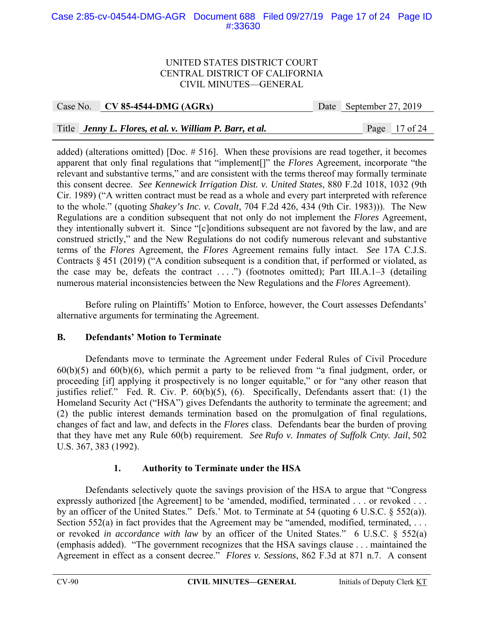#### Case 2:85-cv-04544-DMG-AGR Document 688 Filed 09/27/19 Page 17 of 24 Page ID #:33630

#### UNITED STATES DISTRICT COURT CENTRAL DISTRICT OF CALIFORNIA CIVIL MINUTES—GENERAL

Case No. **CV 85-4544-DMG (AGRx)** Date September 27, 2019

# Title *Jenny L. Flores, et al. v. William P. Barr, et al.* Page 17 of 24

added) (alterations omitted) [Doc. # 516]. When these provisions are read together, it becomes apparent that only final regulations that "implement[]" the *Flores* Agreement, incorporate "the relevant and substantive terms," and are consistent with the terms thereof may formally terminate this consent decree. *See Kennewick Irrigation Dist. v. United States*, 880 F.2d 1018, 1032 (9th Cir. 1989) ("A written contract must be read as a whole and every part interpreted with reference to the whole." (quoting *Shakey's Inc. v. Covalt*, 704 F.2d 426, 434 (9th Cir. 1983))). The New Regulations are a condition subsequent that not only do not implement the *Flores* Agreement, they intentionally subvert it. Since "[c]onditions subsequent are not favored by the law, and are construed strictly," and the New Regulations do not codify numerous relevant and substantive terms of the *Flores* Agreement, the *Flores* Agreement remains fully intact. *See* 17A C.J.S. Contracts § 451 (2019) ("A condition subsequent is a condition that, if performed or violated, as the case may be, defeats the contract  $\dots$ ") (footnotes omitted); Part III.A.1–3 (detailing numerous material inconsistencies between the New Regulations and the *Flores* Agreement).

Before ruling on Plaintiffs' Motion to Enforce, however, the Court assesses Defendants' alternative arguments for terminating the Agreement.

#### **B. Defendants' Motion to Terminate**

Defendants move to terminate the Agreement under Federal Rules of Civil Procedure  $60(b)(5)$  and  $60(b)(6)$ , which permit a party to be relieved from "a final judgment, order, or proceeding [if] applying it prospectively is no longer equitable," or for "any other reason that justifies relief." Fed. R. Civ. P. 60(b)(5), (6). Specifically, Defendants assert that: (1) the Homeland Security Act ("HSA") gives Defendants the authority to terminate the agreement; and (2) the public interest demands termination based on the promulgation of final regulations, changes of fact and law, and defects in the *Flores* class. Defendants bear the burden of proving that they have met any Rule 60(b) requirement. *See Rufo v. Inmates of Suffolk Cnty. Jail*, 502 U.S. 367, 383 (1992).

# **1. Authority to Terminate under the HSA**

 Defendants selectively quote the savings provision of the HSA to argue that "Congress expressly authorized [the Agreement] to be 'amended, modified, terminated . . . or revoked . . . by an officer of the United States." Defs.' Mot. to Terminate at 54 (quoting 6 U.S.C. § 552(a)). Section 552(a) in fact provides that the Agreement may be "amended, modified, terminated,  $\dots$ or revoked *in accordance with law* by an officer of the United States." 6 U.S.C. § 552(a) (emphasis added). "The government recognizes that the HSA savings clause . . . maintained the Agreement in effect as a consent decree." *Flores v. Sessions*, 862 F.3d at 871 n.7. A consent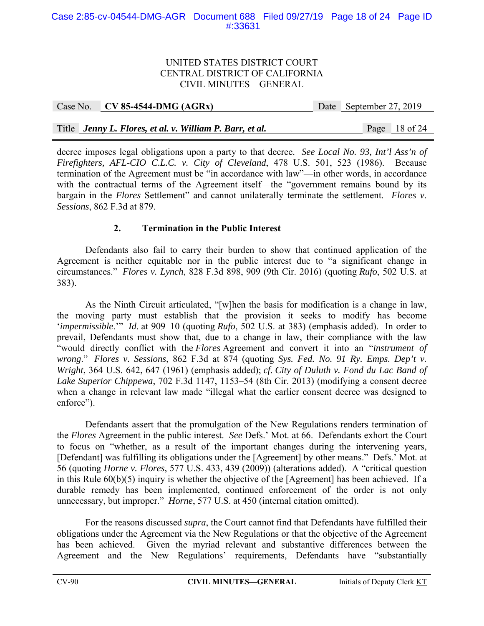|  | Case No. $CV 85-4544-DMG (AGRx)$                         |  | Date September 27, 2019 |                 |
|--|----------------------------------------------------------|--|-------------------------|-----------------|
|  |                                                          |  |                         |                 |
|  | Title Jenny L. Flores, et al. v. William P. Barr, et al. |  |                         | Page $18$ of 24 |

decree imposes legal obligations upon a party to that decree. *See Local No. 93, Int'l Ass'n of Firefighters, AFL-CIO C.L.C. v. City of Cleveland*, 478 U.S. 501, 523 (1986). Because termination of the Agreement must be "in accordance with law"—in other words, in accordance with the contractual terms of the Agreement itself—the "government remains bound by its bargain in the *Flores* Settlement" and cannot unilaterally terminate the settlement. *Flores v. Sessions*, 862 F.3d at 879.

# **2. Termination in the Public Interest**

Defendants also fail to carry their burden to show that continued application of the Agreement is neither equitable nor in the public interest due to "a significant change in circumstances." *Flores v. Lynch*, 828 F.3d 898, 909 (9th Cir. 2016) (quoting *Rufo*, 502 U.S. at 383).

As the Ninth Circuit articulated, "[w]hen the basis for modification is a change in law, the moving party must establish that the provision it seeks to modify has become '*impermissible*.'" *Id.* at 909–10 (quoting *Rufo*, 502 U.S. at 383) (emphasis added). In order to prevail, Defendants must show that, due to a change in law, their compliance with the law "would directly conflict with the *Flores* Agreement and convert it into an "*instrument of wrong*." *Flores v. Sessions*, 862 F.3d at 874 (quoting *Sys. Fed. No. 91 Ry. Emps. Dep't v. Wright*, 364 U.S. 642, 647 (1961) (emphasis added); *cf. City of Duluth v. Fond du Lac Band of Lake Superior Chippewa*, 702 F.3d 1147, 1153–54 (8th Cir. 2013) (modifying a consent decree when a change in relevant law made "illegal what the earlier consent decree was designed to enforce").

Defendants assert that the promulgation of the New Regulations renders termination of the *Flores* Agreement in the public interest. *See* Defs.' Mot. at 66. Defendants exhort the Court to focus on "whether, as a result of the important changes during the intervening years, [Defendant] was fulfilling its obligations under the [Agreement] by other means." Defs.' Mot. at 56 (quoting *Horne v. Flores*, 577 U.S. 433, 439 (2009)) (alterations added). A "critical question in this Rule 60(b)(5) inquiry is whether the objective of the [Agreement] has been achieved. If a durable remedy has been implemented, continued enforcement of the order is not only unnecessary, but improper." *Horne*, 577 U.S. at 450 (internal citation omitted).

For the reasons discussed *supra*, the Court cannot find that Defendants have fulfilled their obligations under the Agreement via the New Regulations or that the objective of the Agreement has been achieved. Given the myriad relevant and substantive differences between the Agreement and the New Regulations' requirements, Defendants have "substantially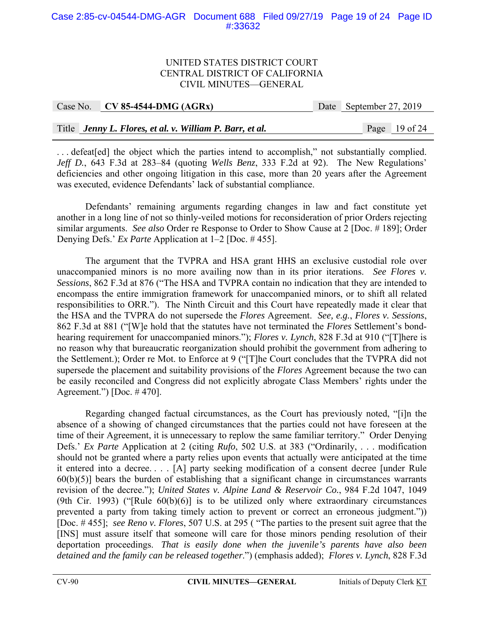#### Case 2:85-cv-04544-DMG-AGR Document 688 Filed 09/27/19 Page 19 of 24 Page ID #:33632

#### UNITED STATES DISTRICT COURT CENTRAL DISTRICT OF CALIFORNIA CIVIL MINUTES—GENERAL

| Case No. CV 85-4544-DMG (AGRx)                           |  | Date September 27, 2019 |                 |
|----------------------------------------------------------|--|-------------------------|-----------------|
|                                                          |  |                         |                 |
| Title Jenny L. Flores, et al. v. William P. Barr, et al. |  |                         | Page $19$ of 24 |

... defeat [ed] the object which the parties intend to accomplish," not substantially complied. *Jeff D.*, 643 F.3d at 283–84 (quoting *Wells Benz*, 333 F.2d at 92). The New Regulations' deficiencies and other ongoing litigation in this case, more than 20 years after the Agreement was executed, evidence Defendants' lack of substantial compliance.

Defendants' remaining arguments regarding changes in law and fact constitute yet another in a long line of not so thinly-veiled motions for reconsideration of prior Orders rejecting similar arguments. *See also* Order re Response to Order to Show Cause at 2 [Doc. # 189]; Order Denying Defs.' *Ex Parte* Application at 1–2 [Doc. # 455].

The argument that the TVPRA and HSA grant HHS an exclusive custodial role over unaccompanied minors is no more availing now than in its prior iterations. *See Flores v. Sessions*, 862 F.3d at 876 ("The HSA and TVPRA contain no indication that they are intended to encompass the entire immigration framework for unaccompanied minors, or to shift all related responsibilities to ORR."). The Ninth Circuit and this Court have repeatedly made it clear that the HSA and the TVPRA do not supersede the *Flores* Agreement. *See, e.g.*, *Flores v. Sessions*, 862 F.3d at 881 ("[W]e hold that the statutes have not terminated the *Flores* Settlement's bondhearing requirement for unaccompanied minors."); *Flores v. Lynch*, 828 F.3d at 910 ("[T]here is no reason why that bureaucratic reorganization should prohibit the government from adhering to the Settlement.); Order re Mot. to Enforce at 9 ("[T]he Court concludes that the TVPRA did not supersede the placement and suitability provisions of the *Flores* Agreement because the two can be easily reconciled and Congress did not explicitly abrogate Class Members' rights under the Agreement.") [Doc. # 470].

Regarding changed factual circumstances, as the Court has previously noted, "[i]n the absence of a showing of changed circumstances that the parties could not have foreseen at the time of their Agreement, it is unnecessary to replow the same familiar territory." Order Denying Defs.' *Ex Parte* Application at 2 (citing *Rufo*, 502 U.S. at 383 ("Ordinarily, . . . modification should not be granted where a party relies upon events that actually were anticipated at the time it entered into a decree. . . . [A] party seeking modification of a consent decree [under Rule  $60(b)(5)$ ] bears the burden of establishing that a significant change in circumstances warrants revision of the decree."); *United States v. Alpine Land & Reservoir Co.*, 984 F.2d 1047, 1049 (9th Cir. 1993) ("[Rule 60(b)(6)] is to be utilized only where extraordinary circumstances prevented a party from taking timely action to prevent or correct an erroneous judgment.")) [Doc. # 455]; *see Reno v. Flores*, 507 U.S. at 295 ( "The parties to the present suit agree that the [INS] must assure itself that someone will care for those minors pending resolution of their deportation proceedings. *That is easily done when the juvenile's parents have also been detained and the family can be released together*.") (emphasis added); *Flores v. Lynch*, 828 F.3d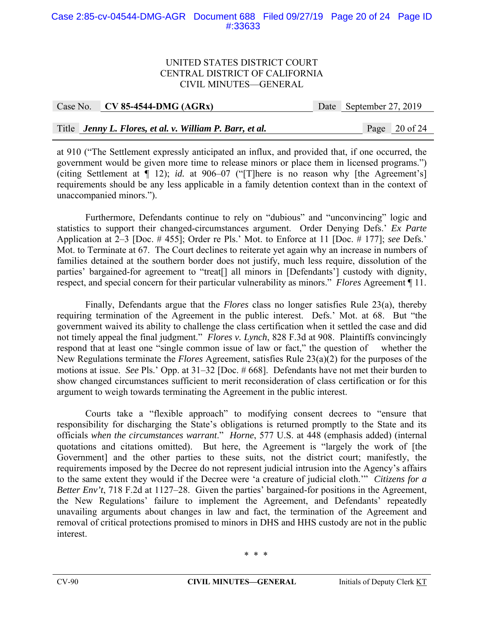#### Case 2:85-cv-04544-DMG-AGR Document 688 Filed 09/27/19 Page 20 of 24 Page ID #:33633

#### UNITED STATES DISTRICT COURT CENTRAL DISTRICT OF CALIFORNIA CIVIL MINUTES—GENERAL

| Case No. CV 85-4544-DMG $(AGRx)$                         | Date September 27, 2019 |                 |
|----------------------------------------------------------|-------------------------|-----------------|
|                                                          |                         |                 |
| Title Jenny L. Flores, et al. v. William P. Barr, et al. |                         | Page $20$ of 24 |

at 910 ("The Settlement expressly anticipated an influx, and provided that, if one occurred, the government would be given more time to release minors or place them in licensed programs.") (citing Settlement at ¶ 12); *id.* at 906–07 ("[T]here is no reason why [the Agreement's] requirements should be any less applicable in a family detention context than in the context of unaccompanied minors.").

Furthermore, Defendants continue to rely on "dubious" and "unconvincing" logic and statistics to support their changed-circumstances argument. Order Denying Defs.' *Ex Parte* Application at 2–3 [Doc. # 455]; Order re Pls.' Mot. to Enforce at 11 [Doc. # 177]; *see* Defs.' Mot. to Terminate at 67. The Court declines to reiterate yet again why an increase in numbers of families detained at the southern border does not justify, much less require, dissolution of the parties' bargained-for agreement to "treat[] all minors in [Defendants'] custody with dignity, respect, and special concern for their particular vulnerability as minors." *Flores* Agreement ¶ 11.

Finally, Defendants argue that the *Flores* class no longer satisfies Rule 23(a), thereby requiring termination of the Agreement in the public interest. Defs.' Mot. at 68. But "the government waived its ability to challenge the class certification when it settled the case and did not timely appeal the final judgment." *Flores v. Lynch*, 828 F.3d at 908. Plaintiffs convincingly respond that at least one "single common issue of law or fact," the question of whether the New Regulations terminate the *Flores* Agreement, satisfies Rule 23(a)(2) for the purposes of the motions at issue. *See* Pls.' Opp. at 31–32 [Doc. # 668]. Defendants have not met their burden to show changed circumstances sufficient to merit reconsideration of class certification or for this argument to weigh towards terminating the Agreement in the public interest.

Courts take a "flexible approach" to modifying consent decrees to "ensure that responsibility for discharging the State's obligations is returned promptly to the State and its officials *when the circumstances warrant*." *Horne*, 577 U.S. at 448 (emphasis added) (internal quotations and citations omitted). But here, the Agreement is "largely the work of [the Government] and the other parties to these suits, not the district court; manifestly, the requirements imposed by the Decree do not represent judicial intrusion into the Agency's affairs to the same extent they would if the Decree were 'a creature of judicial cloth.'" *Citizens for a Better Env't*, 718 F.2d at 1127–28. Given the parties' bargained-for positions in the Agreement, the New Regulations' failure to implement the Agreement, and Defendants' repeatedly unavailing arguments about changes in law and fact, the termination of the Agreement and removal of critical protections promised to minors in DHS and HHS custody are not in the public interest.

\* \* \*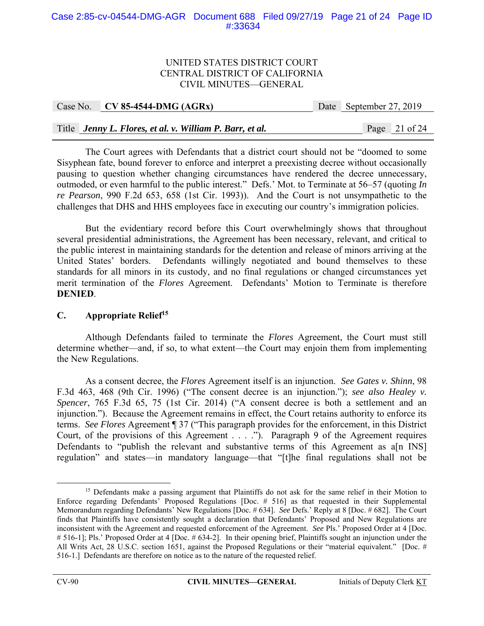#### Case 2:85-cv-04544-DMG-AGR Document 688 Filed 09/27/19 Page 21 of 24 Page ID #:33634

#### UNITED STATES DISTRICT COURT CENTRAL DISTRICT OF CALIFORNIA CIVIL MINUTES—GENERAL

| Case No. CV 85-4544-DMG $(AGRx)$                         | Date September 27, 2019 |                 |
|----------------------------------------------------------|-------------------------|-----------------|
|                                                          |                         |                 |
| Title Jenny L. Flores, et al. v. William P. Barr, et al. |                         | Page $21$ of 24 |

The Court agrees with Defendants that a district court should not be "doomed to some Sisyphean fate, bound forever to enforce and interpret a preexisting decree without occasionally pausing to question whether changing circumstances have rendered the decree unnecessary, outmoded, or even harmful to the public interest." Defs.' Mot. to Terminate at 56–57 (quoting *In re Pearson*, 990 F.2d 653, 658 (1st Cir. 1993)). And the Court is not unsympathetic to the challenges that DHS and HHS employees face in executing our country's immigration policies.

But the evidentiary record before this Court overwhelmingly shows that throughout several presidential administrations, the Agreement has been necessary, relevant, and critical to the public interest in maintaining standards for the detention and release of minors arriving at the United States' borders. Defendants willingly negotiated and bound themselves to these standards for all minors in its custody, and no final regulations or changed circumstances yet merit termination of the *Flores* Agreement. Defendants' Motion to Terminate is therefore **DENIED**.

## **C. Appropriate Relief15**

Although Defendants failed to terminate the *Flores* Agreement, the Court must still determine whether—and, if so, to what extent—the Court may enjoin them from implementing the New Regulations.

As a consent decree, the *Flores* Agreement itself is an injunction. *See Gates v. Shinn*, 98 F.3d 463, 468 (9th Cir. 1996) ("The consent decree is an injunction."); *see also Healey v. Spencer*, 765 F.3d 65, 75 (1st Cir. 2014) ("A consent decree is both a settlement and an injunction."). Because the Agreement remains in effect, the Court retains authority to enforce its terms. *See Flores* Agreement ¶ 37 ("This paragraph provides for the enforcement, in this District Court, of the provisions of this Agreement . . . ."). Paragraph 9 of the Agreement requires Defendants to "publish the relevant and substantive terms of this Agreement as a[n INS] regulation" and states—in mandatory language—that "[t]he final regulations shall not be

<sup>&</sup>lt;sup>15</sup> Defendants make a passing argument that Plaintiffs do not ask for the same relief in their Motion to Enforce regarding Defendants' Proposed Regulations [Doc. # 516] as that requested in their Supplemental Memorandum regarding Defendants' New Regulations [Doc. # 634]. *See* Defs.' Reply at 8 [Doc. # 682]. The Court finds that Plaintiffs have consistently sought a declaration that Defendants' Proposed and New Regulations are inconsistent with the Agreement and requested enforcement of the Agreement. *See* Pls.' Proposed Order at 4 [Doc. # 516-1]; Pls.' Proposed Order at 4 [Doc. # 634-2]. In their opening brief, Plaintiffs sought an injunction under the All Writs Act, 28 U.S.C. section 1651, against the Proposed Regulations or their "material equivalent." [Doc. # 516-1.] Defendants are therefore on notice as to the nature of the requested relief.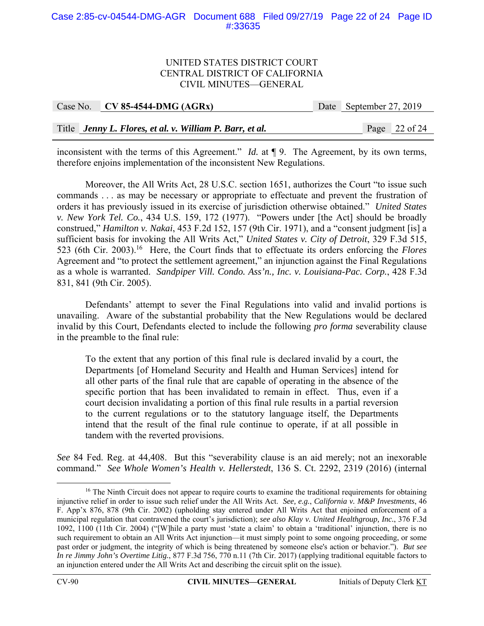#### Case 2:85-cv-04544-DMG-AGR Document 688 Filed 09/27/19 Page 22 of 24 Page ID #:33635

#### UNITED STATES DISTRICT COURT CENTRAL DISTRICT OF CALIFORNIA CIVIL MINUTES—GENERAL

|  | Case No. $\vert$ CV 85-4544-DMG (AGRx)                   | Date September 27, 2019 |                 |
|--|----------------------------------------------------------|-------------------------|-----------------|
|  |                                                          |                         |                 |
|  | Title Jenny L. Flores, et al. v. William P. Barr, et al. |                         | Page $22$ of 24 |

inconsistent with the terms of this Agreement." *Id.* at ¶ 9. The Agreement, by its own terms, therefore enjoins implementation of the inconsistent New Regulations.

Moreover, the All Writs Act, 28 U.S.C. section 1651, authorizes the Court "to issue such commands . . . as may be necessary or appropriate to effectuate and prevent the frustration of orders it has previously issued in its exercise of jurisdiction otherwise obtained." *United States v. New York Tel. Co.*, 434 U.S. 159, 172 (1977). "Powers under [the Act] should be broadly construed," *Hamilton v. Nakai*, 453 F.2d 152, 157 (9th Cir. 1971), and a "consent judgment [is] a sufficient basis for invoking the All Writs Act," *United States v. City of Detroit*, 329 F.3d 515, 523 (6th Cir. 2003).16 Here, the Court finds that to effectuate its orders enforcing the *Flores* Agreement and "to protect the settlement agreement," an injunction against the Final Regulations as a whole is warranted. *Sandpiper Vill. Condo. Ass'n., Inc. v. Louisiana-Pac. Corp.*, 428 F.3d 831, 841 (9th Cir. 2005).

 Defendants' attempt to sever the Final Regulations into valid and invalid portions is unavailing. Aware of the substantial probability that the New Regulations would be declared invalid by this Court, Defendants elected to include the following *pro forma* severability clause in the preamble to the final rule:

To the extent that any portion of this final rule is declared invalid by a court, the Departments [of Homeland Security and Health and Human Services] intend for all other parts of the final rule that are capable of operating in the absence of the specific portion that has been invalidated to remain in effect. Thus, even if a court decision invalidating a portion of this final rule results in a partial reversion to the current regulations or to the statutory language itself, the Departments intend that the result of the final rule continue to operate, if at all possible in tandem with the reverted provisions.

*See* 84 Fed. Reg. at 44,408. But this "severability clause is an aid merely; not an inexorable command." *See Whole Women's Health v. Hellerstedt*, 136 S. Ct. 2292, 2319 (2016) (internal

<sup>&</sup>lt;sup>16</sup> The Ninth Circuit does not appear to require courts to examine the traditional requirements for obtaining injunctive relief in order to issue such relief under the All Writs Act. *See, e.g.*, *California v. M&P Investments*, 46 F. App'x 876, 878 (9th Cir. 2002) (upholding stay entered under All Writs Act that enjoined enforcement of a municipal regulation that contravened the court's jurisdiction); *see also Klay v. United Healthgroup, Inc.*, 376 F.3d 1092, 1100 (11th Cir. 2004) ("[W]hile a party must 'state a claim' to obtain a 'traditional' injunction, there is no such requirement to obtain an All Writs Act injunction—it must simply point to some ongoing proceeding, or some past order or judgment, the integrity of which is being threatened by someone else's action or behavior."). *But see In re Jimmy John's Overtime Litig.*, 877 F.3d 756, 770 n.11 (7th Cir. 2017) (applying traditional equitable factors to an injunction entered under the All Writs Act and describing the circuit split on the issue).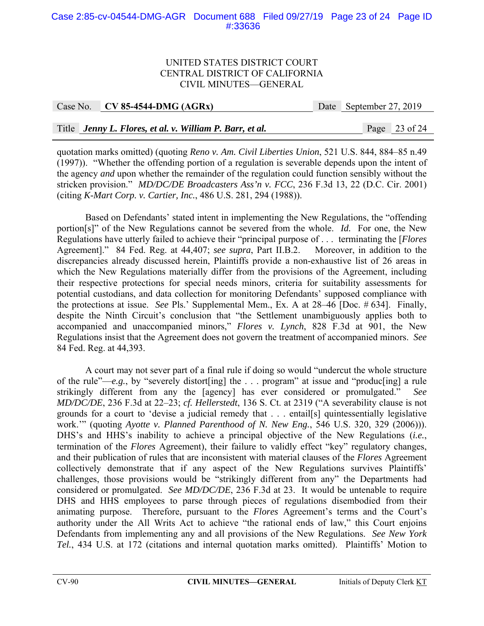#### Case 2:85-cv-04544-DMG-AGR Document 688 Filed 09/27/19 Page 23 of 24 Page ID #:33636

#### UNITED STATES DISTRICT COURT CENTRAL DISTRICT OF CALIFORNIA CIVIL MINUTES—GENERAL

Case No. **CV 85-4544-DMG (AGRx)** Date September 27, 2019

#### Title *Jenny L. Flores, et al. v. William P. Barr, et al.* Page 23 of 24

quotation marks omitted) (quoting *Reno v. Am. Civil Liberties Union*, 521 U.S. 844, 884–85 n.49 (1997)). "Whether the offending portion of a regulation is severable depends upon the intent of the agency *and* upon whether the remainder of the regulation could function sensibly without the stricken provision." *MD/DC/DE Broadcasters Ass'n v. FCC*, 236 F.3d 13, 22 (D.C. Cir. 2001) (citing *K-Mart Corp. v. Cartier, Inc.*, 486 U.S. 281, 294 (1988)).

Based on Defendants' stated intent in implementing the New Regulations, the "offending portion[s]" of the New Regulations cannot be severed from the whole. *Id.* For one, the New Regulations have utterly failed to achieve their "principal purpose of . . . terminating the [*Flores* Agreement]." 84 Fed. Reg. at 44,407; *see supra*, Part II.B.2. Moreover, in addition to the discrepancies already discussed herein, Plaintiffs provide a non-exhaustive list of 26 areas in which the New Regulations materially differ from the provisions of the Agreement, including their respective protections for special needs minors, criteria for suitability assessments for potential custodians, and data collection for monitoring Defendants' supposed compliance with the protections at issue. *See* Pls.' Supplemental Mem., Ex. A at 28–46 [Doc. # 634]. Finally, despite the Ninth Circuit's conclusion that "the Settlement unambiguously applies both to accompanied and unaccompanied minors," *Flores v. Lynch*, 828 F.3d at 901, the New Regulations insist that the Agreement does not govern the treatment of accompanied minors. *See* 84 Fed. Reg. at 44,393.

A court may not sever part of a final rule if doing so would "undercut the whole structure of the rule"—*e.g.*, by "severely distort[ing] the . . . program" at issue and "produc[ing] a rule strikingly different from any the [agency] has ever considered or promulgated." *See MD/DC/DE*, 236 F.3d at 22–23; *cf. Hellerstedt*, 136 S. Ct. at 2319 ("A severability clause is not grounds for a court to 'devise a judicial remedy that . . . entail[s] quintessentially legislative work.'" (quoting *Ayotte v. Planned Parenthood of N. New Eng.*, 546 U.S. 320, 329 (2006))). DHS's and HHS's inability to achieve a principal objective of the New Regulations (*i.e.*, termination of the *Flores* Agreement), their failure to validly effect "key" regulatory changes, and their publication of rules that are inconsistent with material clauses of the *Flores* Agreement collectively demonstrate that if any aspect of the New Regulations survives Plaintiffs' challenges, those provisions would be "strikingly different from any" the Departments had considered or promulgated. *See MD/DC/DE*, 236 F.3d at 23. It would be untenable to require DHS and HHS employees to parse through pieces of regulations disembodied from their animating purpose. Therefore, pursuant to the *Flores* Agreement's terms and the Court's authority under the All Writs Act to achieve "the rational ends of law," this Court enjoins Defendants from implementing any and all provisions of the New Regulations. *See New York Tel.*, 434 U.S. at 172 (citations and internal quotation marks omitted). Plaintiffs' Motion to